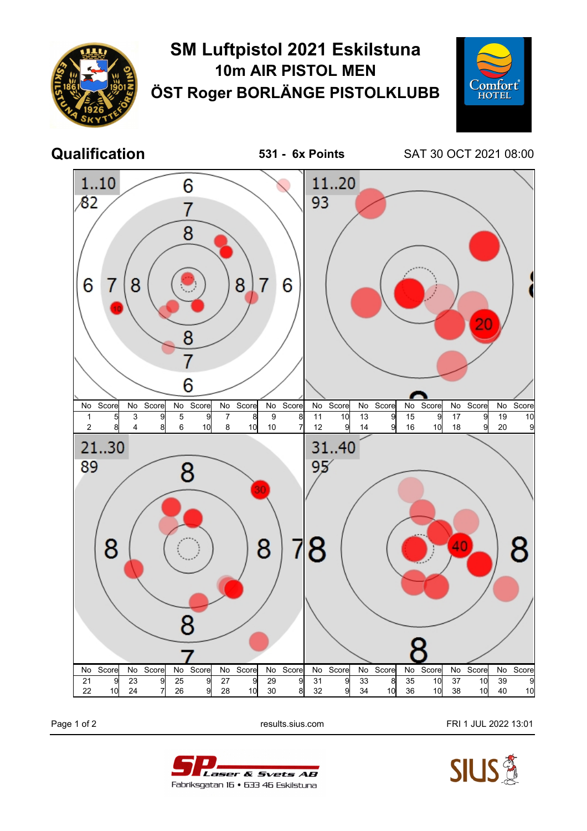

## **SM Luftpistol 2021 Eskilstuna 10m AIR PISTOL MEN ÖST Roger BORLÄNGE PISTOLKLUBB**



**Qualification 531 - 6x Points** SAT 30 OCT 2021 08:00



Page 1 of 2 **Page 1 of 2** results.sius.com **FRI 1 JUL 2022 13:01**